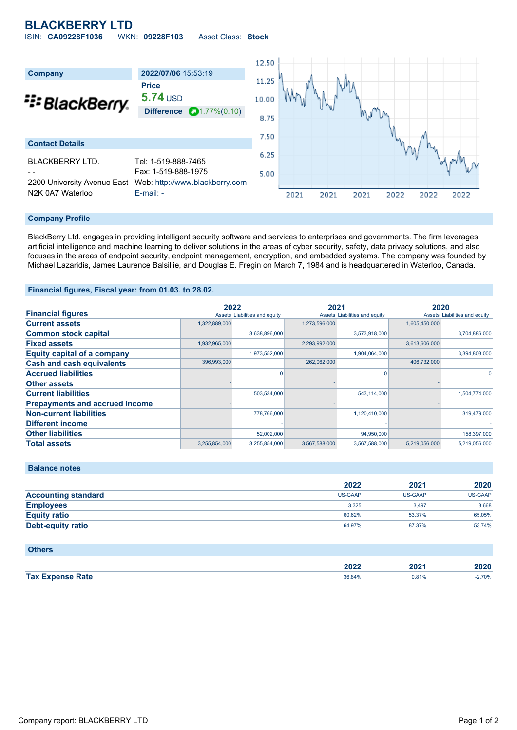# **BLACKBERRY LTD**

ISIN: **CA09228F1036** WKN: **09228F103** Asset Class: **Stock**



#### **Company Profile**

BlackBerry Ltd. engages in providing intelligent security software and services to enterprises and governments. The firm leverages artificial intelligence and machine learning to deliver solutions in the areas of cyber security, safety, data privacy solutions, and also focuses in the areas of endpoint security, endpoint management, encryption, and embedded systems. The company was founded by Michael Lazaridis, James Laurence Balsillie, and Douglas E. Fregin on March 7, 1984 and is headquartered in Waterloo, Canada.

### **Financial figures, Fiscal year: from 01.03. to 28.02.**

|                                       | 2022          |                               | 2021          |                               | 2020          |                               |
|---------------------------------------|---------------|-------------------------------|---------------|-------------------------------|---------------|-------------------------------|
| <b>Financial figures</b>              |               | Assets Liabilities and equity |               | Assets Liabilities and equity |               | Assets Liabilities and equity |
| <b>Current assets</b>                 | 1,322,889,000 |                               | 1,273,596,000 |                               | 1,605,450,000 |                               |
| <b>Common stock capital</b>           |               | 3,638,896,000                 |               | 3,573,918,000                 |               | 3,704,886,000                 |
| <b>Fixed assets</b>                   | 1,932,965,000 |                               | 2,293,992,000 |                               | 3,613,606,000 |                               |
| <b>Equity capital of a company</b>    |               | 1,973,552,000                 |               | 1,904,064,000                 |               | 3,394,803,000                 |
| <b>Cash and cash equivalents</b>      | 396,993,000   |                               | 262,062,000   |                               | 406,732,000   |                               |
| <b>Accrued liabilities</b>            |               | 0                             |               | n                             |               | 0                             |
| <b>Other assets</b>                   |               |                               |               |                               |               |                               |
| <b>Current liabilities</b>            |               | 503,534,000                   |               | 543,114,000                   |               | 1,504,774,000                 |
| <b>Prepayments and accrued income</b> |               |                               |               |                               |               |                               |
| <b>Non-current liabilities</b>        |               | 778,766,000                   |               | 1,120,410,000                 |               | 319,479,000                   |
| <b>Different income</b>               |               |                               |               |                               |               |                               |
| <b>Other liabilities</b>              |               | 52,002,000                    |               | 94,950,000                    |               | 158,397,000                   |
| <b>Total assets</b>                   | 3,255,854,000 | 3,255,854,000                 | 3,567,588,000 | 3,567,588,000                 | 5,219,056,000 | 5,219,056,000                 |

|                            | 2022    | 2021           | 2020    |
|----------------------------|---------|----------------|---------|
| <b>Accounting standard</b> | US-GAAP | <b>US-GAAP</b> | US-GAAP |
| <b>Employees</b>           | 3.325   | 3.497          | 3,668   |
| <b>Equity ratio</b>        | 60.62%  | 53.37%         | 65.05%  |
| Debt-equity ratio          | 64.97%  | 87.37%         | 53.74%  |
|                            |         |                |         |

## **Others**

**Balance notes**

|        | nnnn    | 1021  | $\sim$ $\sim$ $\sim$ |
|--------|---------|-------|----------------------|
|        | LULL    | 40Z   | JUZV.                |
| Tax E. | 36 84%  | 1.81% | $\degree$ 70%        |
| Rate   | 00.0770 | .     |                      |